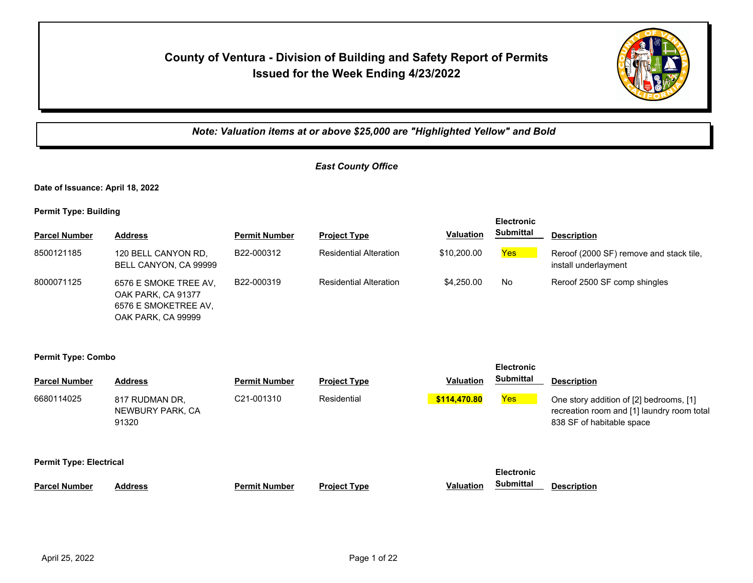## **County of Ventura - Division of Building and Safety Report of Permits Issued for the Week Ending 4/23/2022**



*Note: Valuation items at or above \$25,000 are "Highlighted Yellow" and Bold*

## *East County Office*

**Date of Issuance: April 18, 2022**

OAK PARK, CA 99999

**Permit Type: Building**

|                      |                                                                     |                      |                               |                  | <b>Electronic</b> |                                                                 |
|----------------------|---------------------------------------------------------------------|----------------------|-------------------------------|------------------|-------------------|-----------------------------------------------------------------|
| <b>Parcel Number</b> | <b>Address</b>                                                      | <b>Permit Number</b> | <b>Project Type</b>           | <b>Valuation</b> | <b>Submittal</b>  | <b>Description</b>                                              |
| 8500121185           | 120 BELL CANYON RD,<br>BELL CANYON, CA 99999                        | B22-000312           | <b>Residential Alteration</b> | \$10,200.00      | Yes               | Reroof (2000 SF) remove and stack tile,<br>install underlayment |
| 8000071125           | 6576 E SMOKE TREE AV.<br>OAK PARK, CA 91377<br>6576 E SMOKETREE AV. | B22-000319           | <b>Residential Alteration</b> | \$4,250,00       | No                | Reroof 2500 SF comp shingles                                    |

| <b>Parcel Number</b> | <b>Address</b>                              | <b>Permit Number</b>    | <b>Project Type</b> | Valuation        | <b>Electronic</b><br><b>Submittal</b> | <b>Description</b>                                                                                                 |  |  |  |
|----------------------|---------------------------------------------|-------------------------|---------------------|------------------|---------------------------------------|--------------------------------------------------------------------------------------------------------------------|--|--|--|
| 6680114025           | 817 RUDMAN DR,<br>NEWBURY PARK, CA<br>91320 | C <sub>21</sub> -001310 | Residential         | \$114,470.80     | Yes                                   | One story addition of [2] bedrooms, [1]<br>recreation room and [1] laundry room total<br>838 SF of habitable space |  |  |  |
|                      | <b>Permit Type: Electrical</b>              |                         |                     |                  |                                       |                                                                                                                    |  |  |  |
| <b>Parcel Number</b> | <b>Address</b>                              | <b>Permit Number</b>    | <b>Project Type</b> | <b>Valuation</b> | <b>Electronic</b><br><b>Submittal</b> | <b>Description</b>                                                                                                 |  |  |  |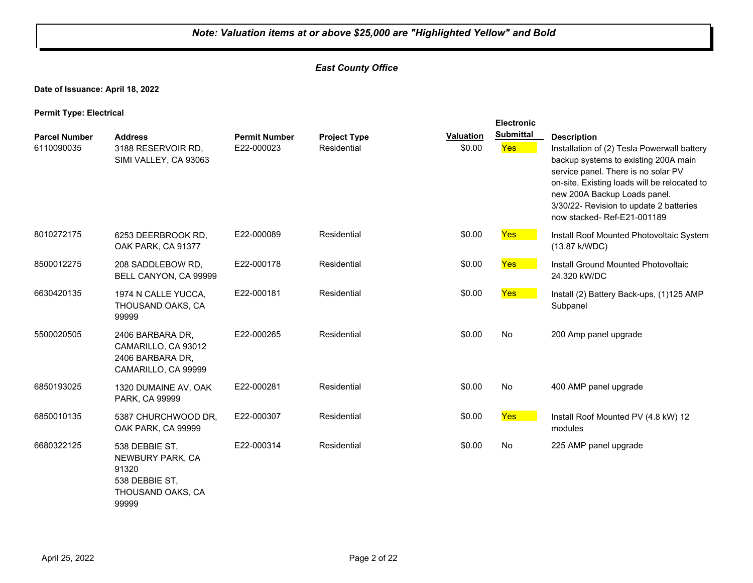#### *East County Office*

**Date of Issuance: April 18, 2022**

|                                    |                                                                                             |                                    |                                    |                            | <b>Electronic</b>       |                                                                                                                                                                                                                                                                                                           |
|------------------------------------|---------------------------------------------------------------------------------------------|------------------------------------|------------------------------------|----------------------------|-------------------------|-----------------------------------------------------------------------------------------------------------------------------------------------------------------------------------------------------------------------------------------------------------------------------------------------------------|
| <b>Parcel Number</b><br>6110090035 | <b>Address</b><br>3188 RESERVOIR RD,<br>SIMI VALLEY, CA 93063                               | <b>Permit Number</b><br>E22-000023 | <b>Project Type</b><br>Residential | <b>Valuation</b><br>\$0.00 | <b>Submittal</b><br>Yes | <b>Description</b><br>Installation of (2) Tesla Powerwall battery<br>backup systems to existing 200A main<br>service panel. There is no solar PV<br>on-site. Existing loads will be relocated to<br>new 200A Backup Loads panel.<br>3/30/22- Revision to update 2 batteries<br>now stacked-Ref-E21-001189 |
| 8010272175                         | 6253 DEERBROOK RD,<br>OAK PARK, CA 91377                                                    | E22-000089                         | Residential                        | \$0.00                     | Yes                     | Install Roof Mounted Photovoltaic System<br>(13.87 k/WDC)                                                                                                                                                                                                                                                 |
| 8500012275                         | 208 SADDLEBOW RD,<br>BELL CANYON, CA 99999                                                  | E22-000178                         | Residential                        | \$0.00                     | Yes                     | Install Ground Mounted Photovoltaic<br>24.320 kW/DC                                                                                                                                                                                                                                                       |
| 6630420135                         | 1974 N CALLE YUCCA,<br>THOUSAND OAKS, CA<br>99999                                           | E22-000181                         | Residential                        | \$0.00                     | Yes                     | Install (2) Battery Back-ups, (1)125 AMP<br>Subpanel                                                                                                                                                                                                                                                      |
| 5500020505                         | 2406 BARBARA DR,<br>CAMARILLO, CA 93012<br>2406 BARBARA DR,<br>CAMARILLO, CA 99999          | E22-000265                         | Residential                        | \$0.00                     | No                      | 200 Amp panel upgrade                                                                                                                                                                                                                                                                                     |
| 6850193025                         | 1320 DUMAINE AV, OAK<br>PARK, CA 99999                                                      | E22-000281                         | Residential                        | \$0.00                     | No                      | 400 AMP panel upgrade                                                                                                                                                                                                                                                                                     |
| 6850010135                         | 5387 CHURCHWOOD DR,<br>OAK PARK, CA 99999                                                   | E22-000307                         | Residential                        | \$0.00                     | Yes                     | Install Roof Mounted PV (4.8 kW) 12<br>modules                                                                                                                                                                                                                                                            |
| 6680322125                         | 538 DEBBIE ST,<br>NEWBURY PARK, CA<br>91320<br>538 DEBBIE ST,<br>THOUSAND OAKS, CA<br>99999 | E22-000314                         | Residential                        | \$0.00                     | No                      | 225 AMP panel upgrade                                                                                                                                                                                                                                                                                     |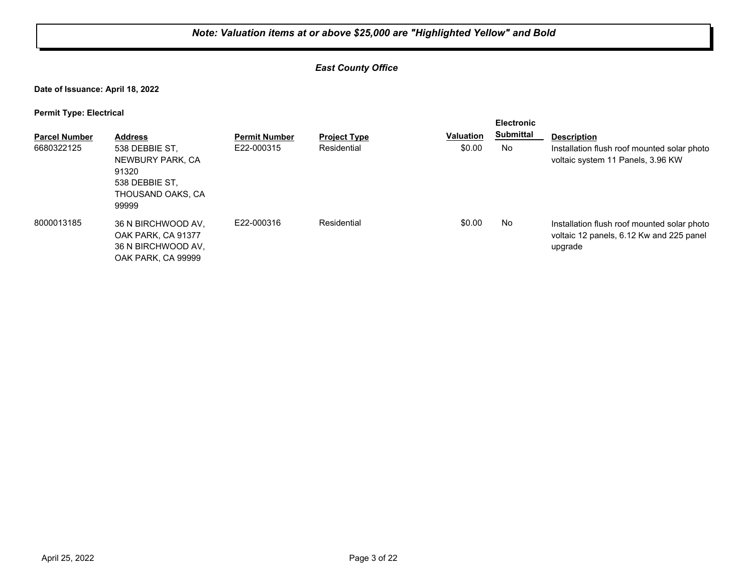#### *East County Office*

**Date of Issuance: April 18, 2022**

| . .<br><b>Parcel Number</b> | <b>Address</b>                                                                              | <b>Permit Number</b> | <b>Project Type</b> | <b>Valuation</b> | <b>Electronic</b><br><b>Submittal</b> | <b>Description</b>                                                                                 |
|-----------------------------|---------------------------------------------------------------------------------------------|----------------------|---------------------|------------------|---------------------------------------|----------------------------------------------------------------------------------------------------|
| 6680322125                  | 538 DEBBIE ST.<br>NEWBURY PARK, CA<br>91320<br>538 DEBBIE ST.<br>THOUSAND OAKS, CA<br>99999 | E22-000315           | Residential         | \$0.00           | No                                    | Installation flush roof mounted solar photo<br>voltaic system 11 Panels, 3.96 KW                   |
| 8000013185                  | 36 N BIRCHWOOD AV,<br>OAK PARK, CA 91377<br>36 N BIRCHWOOD AV,<br>OAK PARK, CA 99999        | F22-000316           | Residential         | \$0.00           | No                                    | Installation flush roof mounted solar photo<br>voltaic 12 panels, 6.12 Kw and 225 panel<br>upgrade |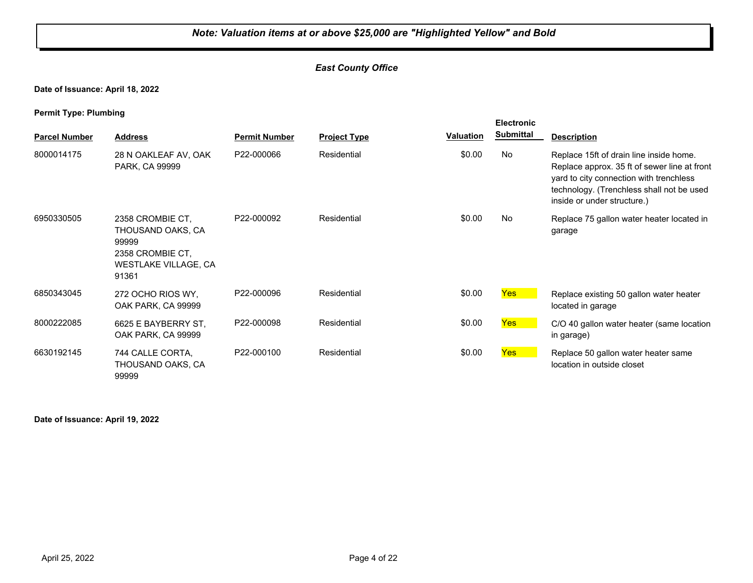#### *East County Office*

**Date of Issuance: April 18, 2022**

**Permit Type: Plumbing**

|                      |                                                                                                            |                      |                     |                  | <b>Electronic</b> |                                                                                                                                                                                                                |
|----------------------|------------------------------------------------------------------------------------------------------------|----------------------|---------------------|------------------|-------------------|----------------------------------------------------------------------------------------------------------------------------------------------------------------------------------------------------------------|
| <b>Parcel Number</b> | <b>Address</b>                                                                                             | <b>Permit Number</b> | <b>Project Type</b> | <b>Valuation</b> | <b>Submittal</b>  | <b>Description</b>                                                                                                                                                                                             |
| 8000014175           | 28 N OAKLEAF AV, OAK<br>PARK, CA 99999                                                                     | P22-000066           | Residential         | \$0.00           | No                | Replace 15ft of drain line inside home.<br>Replace approx. 35 ft of sewer line at front<br>yard to city connection with trenchless<br>technology. (Trenchless shall not be used<br>inside or under structure.) |
| 6950330505           | 2358 CROMBIE CT.<br>THOUSAND OAKS, CA<br>99999<br>2358 CROMBIE CT.<br><b>WESTLAKE VILLAGE, CA</b><br>91361 | P22-000092           | Residential         | \$0.00           | No                | Replace 75 gallon water heater located in<br>garage                                                                                                                                                            |
| 6850343045           | 272 OCHO RIOS WY.<br>OAK PARK, CA 99999                                                                    | P22-000096           | Residential         | \$0.00           | <b>Yes</b>        | Replace existing 50 gallon water heater<br>located in garage                                                                                                                                                   |
| 8000222085           | 6625 E BAYBERRY ST.<br>OAK PARK, CA 99999                                                                  | P22-000098           | Residential         | \$0.00           | <b>Yes</b>        | C/O 40 gallon water heater (same location<br>in garage)                                                                                                                                                        |
| 6630192145           | 744 CALLE CORTA,<br>THOUSAND OAKS, CA<br>99999                                                             | P22-000100           | Residential         | \$0.00           | <b>Yes</b>        | Replace 50 gallon water heater same<br>location in outside closet                                                                                                                                              |

**Date of Issuance: April 19, 2022**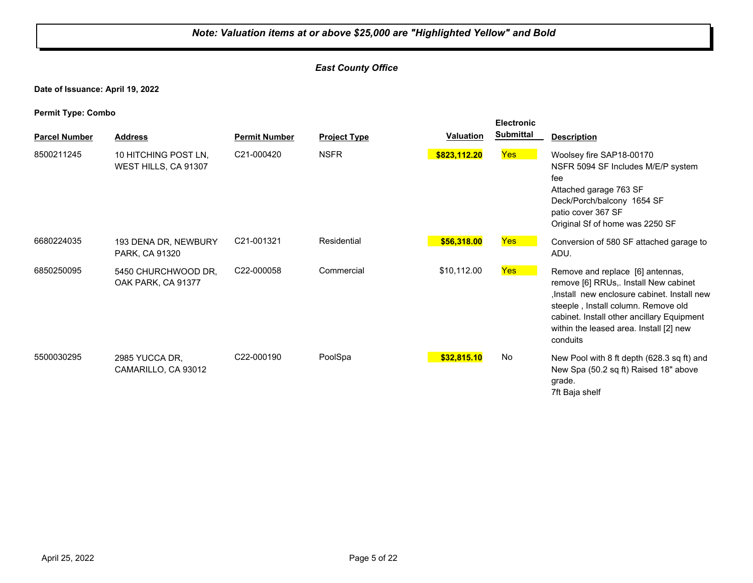#### *East County Office*

**Date of Issuance: April 19, 2022**

|                      |                                              |                      |                     |                  | <b>Electronic</b> |                                                                                                                                                                                                                                                                       |
|----------------------|----------------------------------------------|----------------------|---------------------|------------------|-------------------|-----------------------------------------------------------------------------------------------------------------------------------------------------------------------------------------------------------------------------------------------------------------------|
| <b>Parcel Number</b> | <b>Address</b>                               | <b>Permit Number</b> | <b>Project Type</b> | <b>Valuation</b> | <b>Submittal</b>  | <b>Description</b>                                                                                                                                                                                                                                                    |
| 8500211245           | 10 HITCHING POST LN,<br>WEST HILLS, CA 91307 | C21-000420           | <b>NSFR</b>         | \$823,112.20     | Yes               | Woolsey fire SAP18-00170<br>NSFR 5094 SF Includes M/E/P system<br>fee<br>Attached garage 763 SF<br>Deck/Porch/balcony 1654 SF<br>patio cover 367 SF<br>Original Sf of home was 2250 SF                                                                                |
| 6680224035           | 193 DENA DR, NEWBURY<br>PARK, CA 91320       | C21-001321           | Residential         | \$56,318.00      | Yes               | Conversion of 580 SF attached garage to<br>ADU.                                                                                                                                                                                                                       |
| 6850250095           | 5450 CHURCHWOOD DR,<br>OAK PARK, CA 91377    | C22-000058           | Commercial          | \$10,112.00      | <b>Yes</b>        | Remove and replace [6] antennas,<br>remove [6] RRUs,. Install New cabinet<br>, Install new enclosure cabinet. Install new<br>steeple, Install column. Remove old<br>cabinet. Install other ancillary Equipment<br>within the leased area. Install [2] new<br>conduits |
| 5500030295           | 2985 YUCCA DR,<br>CAMARILLO, CA 93012        | C22-000190           | PoolSpa             | \$32,815.10      | No                | New Pool with 8 ft depth (628.3 sq ft) and<br>New Spa (50.2 sq ft) Raised 18" above<br>grade.<br>7ft Baja shelf                                                                                                                                                       |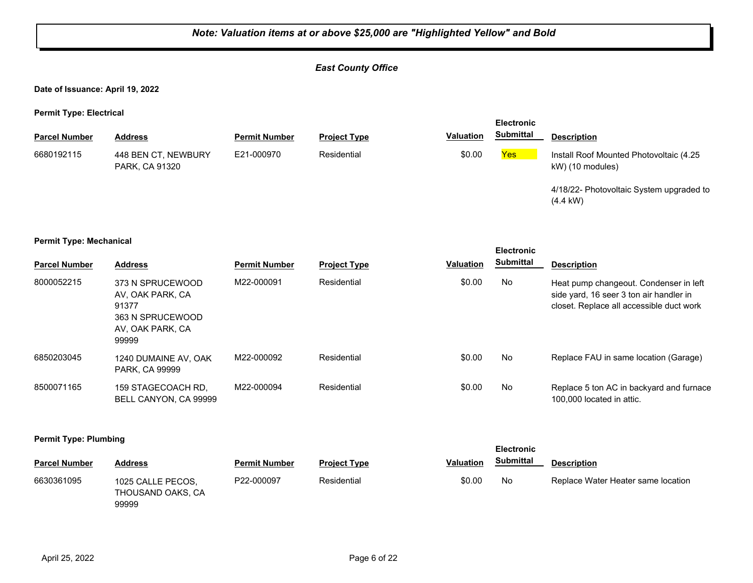#### *East County Office*

**Date of Issuance: April 19, 2022**

**Permit Type: Electrical**

| . .                  |                                       |                      |                     |           | <b>Electronic</b> |                                                                |
|----------------------|---------------------------------------|----------------------|---------------------|-----------|-------------------|----------------------------------------------------------------|
| <b>Parcel Number</b> | <b>Address</b>                        | <b>Permit Number</b> | <b>Project Type</b> | Valuation | <b>Submittal</b>  | <b>Description</b>                                             |
| 6680192115           | 448 BEN CT, NEWBURY<br>PARK, CA 91320 | E21-000970           | Residential         | \$0.00    | Yes               | Install Roof Mounted Photovoltaic (4.25<br>kW) (10 modules)    |
|                      |                                       |                      |                     |           |                   | 4/18/22- Photovoltaic System upgraded to<br>$(4.4 \text{ kW})$ |

#### **Permit Type: Mechanical**

| <b>Parcel Number</b> | <b>Address</b>                                                                                 | <b>Permit Number</b> | <b>Project Type</b> | <b>Valuation</b> | <b>Electronic</b><br><b>Submittal</b> | <b>Description</b>                                                                                                            |
|----------------------|------------------------------------------------------------------------------------------------|----------------------|---------------------|------------------|---------------------------------------|-------------------------------------------------------------------------------------------------------------------------------|
| 8000052215           | 373 N SPRUCEWOOD<br>AV. OAK PARK, CA<br>91377<br>363 N SPRUCEWOOD<br>AV. OAK PARK, CA<br>99999 | M22-000091           | Residential         | \$0.00           | No                                    | Heat pump changeout. Condenser in left<br>side yard, 16 seer 3 ton air handler in<br>closet. Replace all accessible duct work |
| 6850203045           | 1240 DUMAINE AV, OAK<br><b>PARK, CA 99999</b>                                                  | M22-000092           | Residential         | \$0.00           | No                                    | Replace FAU in same location (Garage)                                                                                         |
| 8500071165           | 159 STAGECOACH RD.<br>BELL CANYON, CA 99999                                                    | M22-000094           | Residential         | \$0.00           | No                                    | Replace 5 ton AC in backyard and furnace<br>100,000 located in attic.                                                         |

**Permit Type: Plumbing**

|                      |                                                 |                      |                     |                  | <b>Electronic</b><br><b>Submittal</b> |                                    |
|----------------------|-------------------------------------------------|----------------------|---------------------|------------------|---------------------------------------|------------------------------------|
| <b>Parcel Number</b> | <b>Address</b>                                  | <b>Permit Number</b> | <b>Project Type</b> | <b>Valuation</b> |                                       | <b>Description</b>                 |
| 6630361095           | 1025 CALLE PECOS,<br>THOUSAND OAKS, CA<br>99999 | P22-000097           | Residential         | \$0.00           | No                                    | Replace Water Heater same location |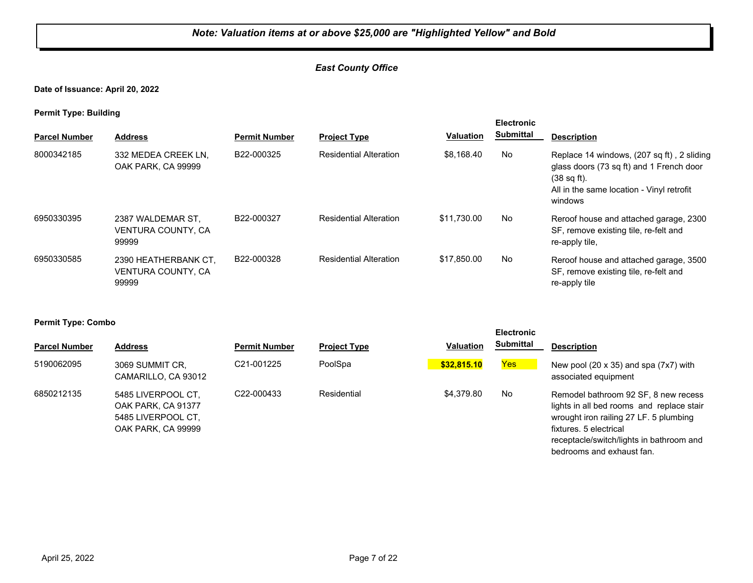#### *East County Office*

**Date of Issuance: April 20, 2022**

**Permit Type: Building**

| . .                  |                                                         |                      |                               |                  | <b>Electronic</b> |                                                                                                                                                                          |
|----------------------|---------------------------------------------------------|----------------------|-------------------------------|------------------|-------------------|--------------------------------------------------------------------------------------------------------------------------------------------------------------------------|
| <b>Parcel Number</b> | <b>Address</b>                                          | <b>Permit Number</b> | <b>Project Type</b>           | <b>Valuation</b> | <b>Submittal</b>  | <b>Description</b>                                                                                                                                                       |
| 8000342185           | 332 MEDEA CREEK LN.<br>OAK PARK, CA 99999               | B22-000325           | <b>Residential Alteration</b> | \$8.168.40       | No.               | Replace 14 windows, (207 sq ft), 2 sliding<br>glass doors (73 sq ft) and 1 French door<br>$(38 \text{ sq ft})$ .<br>All in the same location - Vinyl retrofit<br>windows |
| 6950330395           | 2387 WALDEMAR ST,<br><b>VENTURA COUNTY, CA</b><br>99999 | B22-000327           | <b>Residential Alteration</b> | \$11.730.00      | No                | Reroof house and attached garage, 2300<br>SF, remove existing tile, re-felt and<br>re-apply tile,                                                                        |
| 6950330585           | 2390 HEATHERBANK CT.<br>VENTURA COUNTY, CA<br>99999     | B22-000328           | <b>Residential Alteration</b> | \$17,850,00      | No                | Reroof house and attached garage, 3500<br>SF, remove existing tile, re-felt and<br>re-apply tile                                                                         |

|                      |                                                                                      |                         |                     |                  | <b>Electronic</b> |                                                                                                                                                                                                                                |
|----------------------|--------------------------------------------------------------------------------------|-------------------------|---------------------|------------------|-------------------|--------------------------------------------------------------------------------------------------------------------------------------------------------------------------------------------------------------------------------|
| <b>Parcel Number</b> | <b>Address</b>                                                                       | <b>Permit Number</b>    | <b>Project Type</b> | <b>Valuation</b> | <b>Submittal</b>  | <b>Description</b>                                                                                                                                                                                                             |
| 5190062095           | 3069 SUMMIT CR.<br>CAMARILLO, CA 93012                                               | C <sub>21</sub> -001225 | PoolSpa             | \$32,815.10      | <b>Yes</b>        | New pool $(20 \times 35)$ and spa $(7x7)$ with<br>associated equipment                                                                                                                                                         |
| 6850212135           | 5485 LIVERPOOL CT.<br>OAK PARK, CA 91377<br>5485 LIVERPOOL CT.<br>OAK PARK, CA 99999 | C22-000433              | Residential         | \$4,379.80       | No                | Remodel bathroom 92 SF, 8 new recess<br>lights in all bed rooms and replace stair<br>wrought iron railing 27 LF, 5 plumbing<br>fixtures. 5 electrical<br>receptacle/switch/lights in bathroom and<br>bedrooms and exhaust fan. |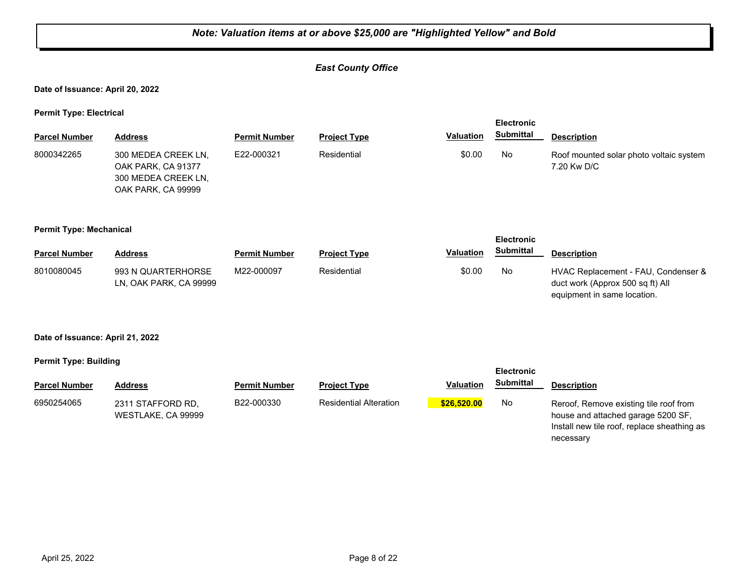#### *East County Office*

**Date of Issuance: April 20, 2022**

**Permit Type: Electrical**

|                                  |                                                                                        |                      |                               |                  | <b>Electronic</b> |                                                                                                                             |
|----------------------------------|----------------------------------------------------------------------------------------|----------------------|-------------------------------|------------------|-------------------|-----------------------------------------------------------------------------------------------------------------------------|
| <b>Parcel Number</b>             | <b>Address</b>                                                                         | <b>Permit Number</b> | <b>Project Type</b>           | <b>Valuation</b> | <b>Submittal</b>  | <b>Description</b>                                                                                                          |
| 8000342265                       | 300 MEDEA CREEK LN,<br>OAK PARK, CA 91377<br>300 MEDEA CREEK LN,<br>OAK PARK, CA 99999 | E22-000321           | Residential                   | \$0.00           | No                | Roof mounted solar photo voltaic system<br>7.20 Kw D/C                                                                      |
| <b>Permit Type: Mechanical</b>   |                                                                                        |                      |                               |                  | <b>Electronic</b> |                                                                                                                             |
| <b>Parcel Number</b>             | <b>Address</b>                                                                         | <b>Permit Number</b> | <b>Project Type</b>           | <b>Valuation</b> | <b>Submittal</b>  | <b>Description</b>                                                                                                          |
| 8010080045                       | 993 N QUARTERHORSE<br>LN, OAK PARK, CA 99999                                           | M22-000097           | Residential                   | \$0.00           | No                | HVAC Replacement - FAU, Condenser &<br>duct work (Approx 500 sq ft) All<br>equipment in same location.                      |
| Date of Issuance: April 21, 2022 |                                                                                        |                      |                               |                  |                   |                                                                                                                             |
| <b>Permit Type: Building</b>     |                                                                                        |                      |                               |                  | <b>Electronic</b> |                                                                                                                             |
| <b>Parcel Number</b>             | <b>Address</b>                                                                         | <b>Permit Number</b> | <b>Project Type</b>           | <b>Valuation</b> | <b>Submittal</b>  | <b>Description</b>                                                                                                          |
| 6950254065                       | 2311 STAFFORD RD,<br>WESTLAKE, CA 99999                                                | B22-000330           | <b>Residential Alteration</b> | \$26,520.00      | <b>No</b>         | Reroof, Remove existing tile roof from<br>house and attached garage 5200 SF,<br>Install new tile roof, replace sheathing as |

necessary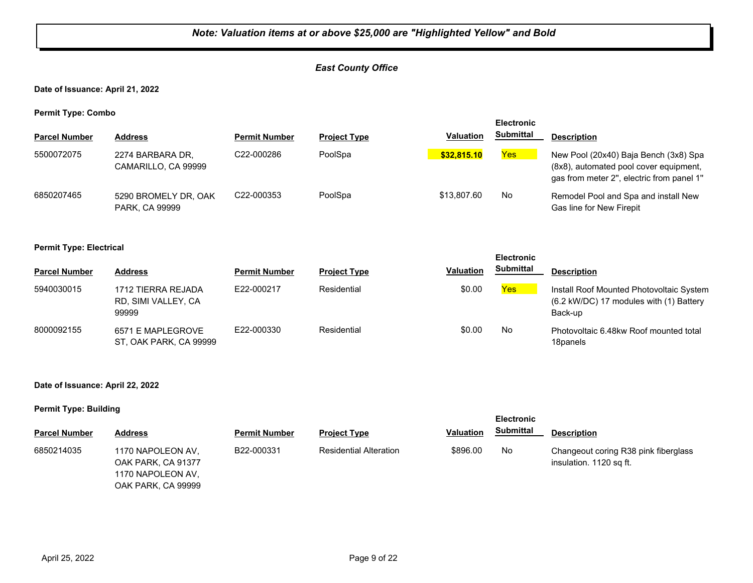#### *East County Office*

**Date of Issuance: April 21, 2022**

**Permit Type: Combo**

| - -                  |                                         |                         |                     |                  | <b>Electronic</b> |                                                                                                                              |
|----------------------|-----------------------------------------|-------------------------|---------------------|------------------|-------------------|------------------------------------------------------------------------------------------------------------------------------|
| <b>Parcel Number</b> | <b>Address</b>                          | <b>Permit Number</b>    | <b>Project Type</b> | <b>Valuation</b> | <b>Submittal</b>  | <b>Description</b>                                                                                                           |
| 5500072075           | 2274 BARBARA DR,<br>CAMARILLO, CA 99999 | C22-000286              | PoolSpa             | \$32.815.10      | Yes               | New Pool (20x40) Baja Bench (3x8) Spa<br>(8x8), automated pool cover equipment,<br>gas from meter 2", electric from panel 1" |
| 6850207465           | 5290 BROMELY DR, OAK<br>PARK, CA 99999  | C <sub>22</sub> -000353 | PoolSpa             | \$13,807.60      | No                | Remodel Pool and Spa and install New<br>Gas line for New Firepit                                                             |

#### **Permit Type: Electrical**

| . .                  |                                                    |                      |                     |                  | <b>Electronic</b> |                                                                                                |
|----------------------|----------------------------------------------------|----------------------|---------------------|------------------|-------------------|------------------------------------------------------------------------------------------------|
| <b>Parcel Number</b> | <b>Address</b>                                     | <b>Permit Number</b> | <b>Project Type</b> | <b>Valuation</b> | <b>Submittal</b>  | <b>Description</b>                                                                             |
| 5940030015           | 1712 TIERRA REJADA<br>RD, SIMI VALLEY, CA<br>99999 | E22-000217           | Residential         | \$0.00           | Yes               | Install Roof Mounted Photovoltaic System<br>(6.2 kW/DC) 17 modules with (1) Battery<br>Back-up |
| 8000092155           | 6571 E MAPLEGROVE<br>ST, OAK PARK, CA 99999        | E22-000330           | Residential         | \$0.00           | No                | Photovoltaic 6.48kw Roof mounted total<br>18panels                                             |

#### **Date of Issuance: April 22, 2022**

OAK PARK, CA 99999

#### **Permit Type: Building**

| --                   |                                                              |                      |                               |                  | <b>Electronic</b> |                                                                 |
|----------------------|--------------------------------------------------------------|----------------------|-------------------------------|------------------|-------------------|-----------------------------------------------------------------|
| <b>Parcel Number</b> | <b>Address</b>                                               | <b>Permit Number</b> | <b>Project Type</b>           | <b>Valuation</b> | <b>Submittal</b>  | <b>Description</b>                                              |
| 6850214035           | 1170 NAPOLEON AV.<br>OAK PARK, CA 91377<br>1170 NAPOLEON AV. | B22-000331           | <b>Residential Alteration</b> | \$896.00         | No                | Changeout coring R38 pink fiberglass<br>insulation. 1120 sq ft. |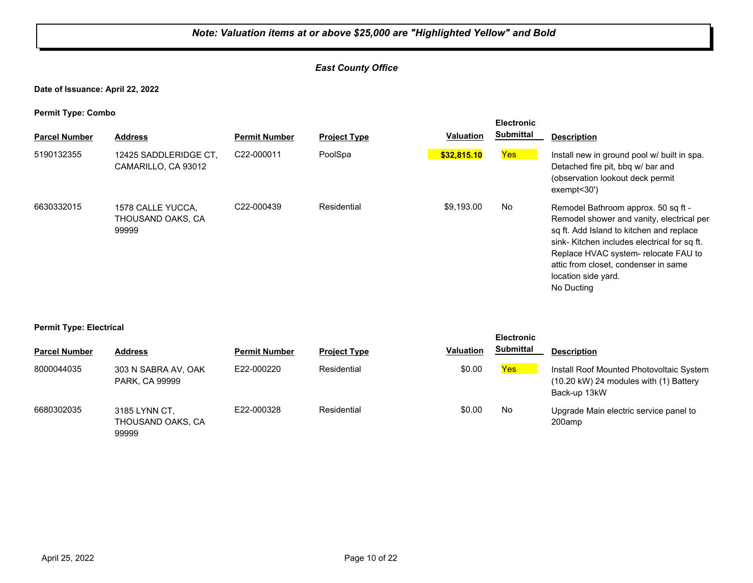#### *East County Office*

**Date of Issuance: April 22, 2022**

**Permit Type: Combo**

| . .<br><b>Parcel Number</b> | <b>Address</b>                                  | <b>Permit Number</b>    | <b>Project Type</b> | <b>Valuation</b> | <b>Electronic</b><br><b>Submittal</b> | <b>Description</b>                                                                                                                                                                                                                                                                              |
|-----------------------------|-------------------------------------------------|-------------------------|---------------------|------------------|---------------------------------------|-------------------------------------------------------------------------------------------------------------------------------------------------------------------------------------------------------------------------------------------------------------------------------------------------|
| 5190132355                  | 12425 SADDLERIDGE CT.<br>CAMARILLO, CA 93012    | C22-000011              | PoolSpa             | \$32,815.10      | Yes                                   | Install new in ground pool w/ built in spa.<br>Detached fire pit, bbq w/ bar and<br>(observation lookout deck permit<br>exempt < 30'                                                                                                                                                            |
| 6630332015                  | 1578 CALLE YUCCA.<br>THOUSAND OAKS, CA<br>99999 | C <sub>22</sub> -000439 | Residential         | \$9.193.00       | No                                    | Remodel Bathroom approx. 50 sq ft -<br>Remodel shower and vanity, electrical per<br>sq ft. Add Island to kitchen and replace<br>sink-Kitchen includes electrical for sq ft.<br>Replace HVAC system-relocate FAU to<br>attic from closet, condenser in same<br>location side yard.<br>No Ducting |

|                      |                                             |                      |                     |                  | <b>Electronic</b> |                                                                                                                |
|----------------------|---------------------------------------------|----------------------|---------------------|------------------|-------------------|----------------------------------------------------------------------------------------------------------------|
| <b>Parcel Number</b> | <b>Address</b>                              | <b>Permit Number</b> | <b>Project Type</b> | <b>Valuation</b> | <b>Submittal</b>  | <b>Description</b>                                                                                             |
| 8000044035           | 303 N SABRA AV, OAK<br>PARK, CA 99999       | E22-000220           | Residential         | \$0.00           | Yes               | Install Roof Mounted Photovoltaic System<br>$(10.20 \text{ kW})$ 24 modules with $(1)$ Battery<br>Back-up 13kW |
| 6680302035           | 3185 LYNN CT,<br>THOUSAND OAKS, CA<br>99999 | E22-000328           | Residential         | \$0.00           | No                | Upgrade Main electric service panel to<br>200amp                                                               |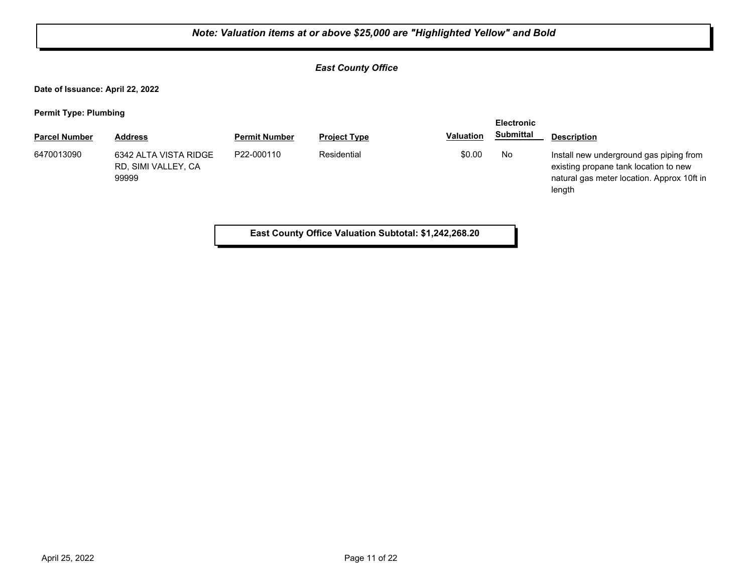#### *East County Office*

**Date of Issuance: April 22, 2022**

**Permit Type: Plumbing**

|                      |                                                       |                      |                     |                  | <b>Electronic</b> |                                                                                                                                          |
|----------------------|-------------------------------------------------------|----------------------|---------------------|------------------|-------------------|------------------------------------------------------------------------------------------------------------------------------------------|
| <b>Parcel Number</b> | <b>Address</b>                                        | <b>Permit Number</b> | <b>Project Type</b> | <b>Valuation</b> | <b>Submittal</b>  | <b>Description</b>                                                                                                                       |
| 6470013090           | 6342 ALTA VISTA RIDGE<br>RD, SIMI VALLEY, CA<br>99999 | P22-000110           | Residential         | \$0.00           | No                | Install new underground gas piping from<br>existing propane tank location to new<br>natural gas meter location. Approx 10ft in<br>length |

**East County Office Valuation Subtotal: \$1,242,268.20**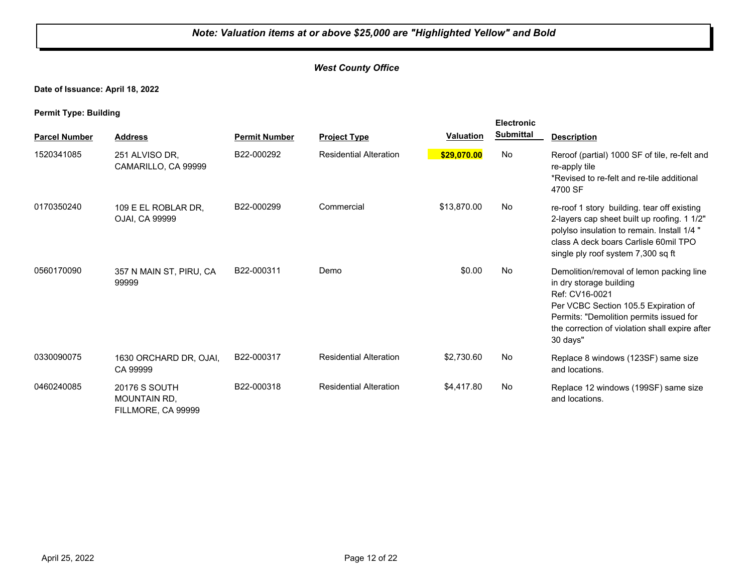#### *West County Office*

**Date of Issuance: April 18, 2022**

**Permit Type: Building**

|                      |                                                     |                      |                               |                  | <b>Electronic</b> |                                                                                                                                                                                                                                        |
|----------------------|-----------------------------------------------------|----------------------|-------------------------------|------------------|-------------------|----------------------------------------------------------------------------------------------------------------------------------------------------------------------------------------------------------------------------------------|
| <b>Parcel Number</b> | <b>Address</b>                                      | <b>Permit Number</b> | <b>Project Type</b>           | <b>Valuation</b> | <b>Submittal</b>  | <b>Description</b>                                                                                                                                                                                                                     |
| 1520341085           | 251 ALVISO DR.<br>CAMARILLO, CA 99999               | B22-000292           | <b>Residential Alteration</b> | \$29,070.00      | No                | Reroof (partial) 1000 SF of tile, re-felt and<br>re-apply tile<br>*Revised to re-felt and re-tile additional<br>4700 SF                                                                                                                |
| 0170350240           | 109 E EL ROBLAR DR,<br>OJAI, CA 99999               | B22-000299           | Commercial                    | \$13,870.00      | No                | re-roof 1 story building. tear off existing<br>2-layers cap sheet built up roofing. 1 1/2"<br>polylso insulation to remain. Install 1/4 "<br>class A deck boars Carlisle 60mil TPO<br>single ply roof system 7,300 sq ft               |
| 0560170090           | 357 N MAIN ST, PIRU, CA<br>99999                    | B22-000311           | Demo                          | \$0.00           | No                | Demolition/removal of lemon packing line<br>in dry storage building<br>Ref: CV16-0021<br>Per VCBC Section 105.5 Expiration of<br>Permits: "Demolition permits issued for<br>the correction of violation shall expire after<br>30 days" |
| 0330090075           | 1630 ORCHARD DR, OJAI,<br>CA 99999                  | B22-000317           | <b>Residential Alteration</b> | \$2,730.60       | No                | Replace 8 windows (123SF) same size<br>and locations.                                                                                                                                                                                  |
| 0460240085           | 20176 S SOUTH<br>MOUNTAIN RD,<br>FILLMORE, CA 99999 | B22-000318           | <b>Residential Alteration</b> | \$4,417.80       | No                | Replace 12 windows (199SF) same size<br>and locations.                                                                                                                                                                                 |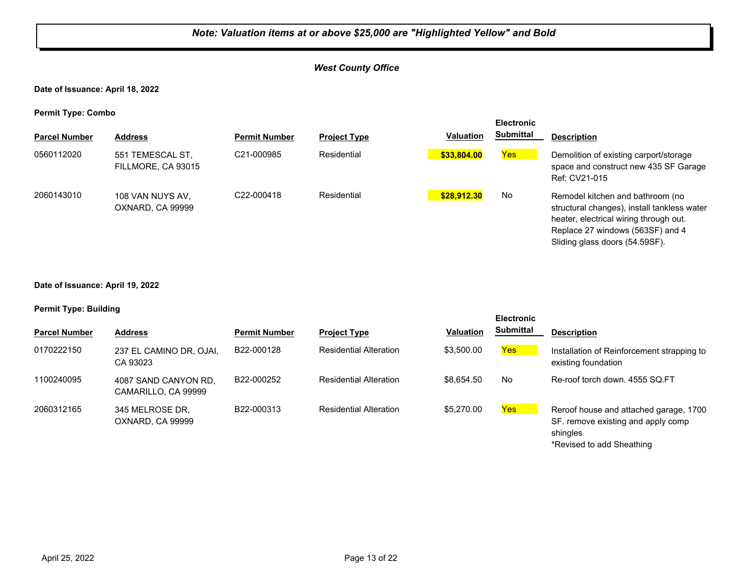#### *West County Office*

**Date of Issuance: April 18, 2022**

**Permit Type: Combo**

| - -                  |                                        |                      |                     |                  | <b>Electronic</b> |                                                                                                                                                                                                 |
|----------------------|----------------------------------------|----------------------|---------------------|------------------|-------------------|-------------------------------------------------------------------------------------------------------------------------------------------------------------------------------------------------|
| <b>Parcel Number</b> | <b>Address</b>                         | <b>Permit Number</b> | <b>Project Type</b> | <b>Valuation</b> | Submittal         | <b>Description</b>                                                                                                                                                                              |
| 0560112020           | 551 TEMESCAL ST,<br>FILLMORE, CA 93015 | C21-000985           | Residential         | \$33,804.00      | Yes               | Demolition of existing carport/storage<br>space and construct new 435 SF Garage<br>Ref: CV21-015                                                                                                |
| 2060143010           | 108 VAN NUYS AV,<br>OXNARD, CA 99999   | C22-000418           | Residential         | \$28,912.30      | No                | Remodel kitchen and bathroom (no<br>structural changes), install tankless water<br>heater, electrical wiring through out.<br>Replace 27 windows (563SF) and 4<br>Sliding glass doors (54.59SF). |

**Date of Issuance: April 19, 2022**

#### **Permit Type: Building**

| <b>Parcel Number</b> | <b>Address</b>                              | <b>Permit Number</b> | <b>Project Type</b>           | <b>Valuation</b> | <b>Submittal</b> | <b>Description</b>                                                                       |
|----------------------|---------------------------------------------|----------------------|-------------------------------|------------------|------------------|------------------------------------------------------------------------------------------|
| 0170222150           | 237 EL CAMINO DR, OJAI,<br>CA 93023         | B22-000128           | <b>Residential Alteration</b> | \$3,500.00       | <b>Yes</b>       | Installation of Reinforcement strapping to<br>existing foundation                        |
| 1100240095           | 4087 SAND CANYON RD,<br>CAMARILLO, CA 99999 | B22-000252           | <b>Residential Alteration</b> | \$8.654.50       | No               | Re-roof torch down, 4555 SQ.FT                                                           |
| 2060312165           | 345 MELROSE DR,<br>OXNARD, CA 99999         | B22-000313           | <b>Residential Alteration</b> | \$5,270.00       | <b>Yes</b>       | Reroof house and attached garage, 1700<br>SF. remove existing and apply comp<br>shingles |

\*Revised to add Sheathing

**Electronic**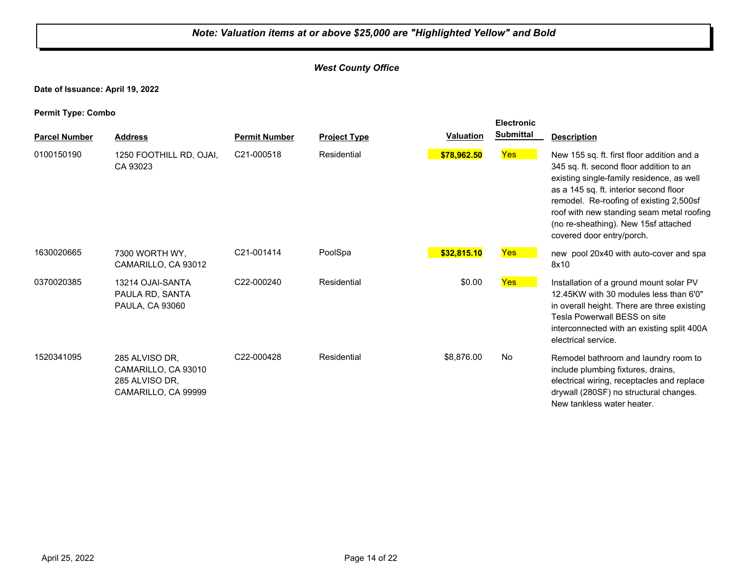#### *West County Office*

**Date of Issuance: April 19, 2022**

|                      |                                                                                |                      |                     |                  | <b>Electronic</b> |                                                                                                                                                                                                                                                                                                                                           |
|----------------------|--------------------------------------------------------------------------------|----------------------|---------------------|------------------|-------------------|-------------------------------------------------------------------------------------------------------------------------------------------------------------------------------------------------------------------------------------------------------------------------------------------------------------------------------------------|
| <b>Parcel Number</b> | <b>Address</b>                                                                 | <b>Permit Number</b> | <b>Project Type</b> | <b>Valuation</b> | <b>Submittal</b>  | <b>Description</b>                                                                                                                                                                                                                                                                                                                        |
| 0100150190           | 1250 FOOTHILL RD, OJAI,<br>CA 93023                                            | C21-000518           | Residential         | \$78,962.50      | <b>Yes</b>        | New 155 sq. ft. first floor addition and a<br>345 sq. ft. second floor addition to an<br>existing single-family residence, as well<br>as a 145 sq. ft. interior second floor<br>remodel. Re-roofing of existing 2,500sf<br>roof with new standing seam metal roofing<br>(no re-sheathing). New 15sf attached<br>covered door entry/porch. |
| 1630020665           | 7300 WORTH WY,<br>CAMARILLO, CA 93012                                          | C21-001414           | PoolSpa             | \$32,815.10      | <b>Yes</b>        | new pool 20x40 with auto-cover and spa<br>8x10                                                                                                                                                                                                                                                                                            |
| 0370020385           | 13214 OJAI-SANTA<br>PAULA RD, SANTA<br><b>PAULA, CA 93060</b>                  | C22-000240           | Residential         | \$0.00           | Yes               | Installation of a ground mount solar PV<br>12.45KW with 30 modules less than 6'0"<br>in overall height. There are three existing<br>Tesla Powerwall BESS on site<br>interconnected with an existing split 400A<br>electrical service.                                                                                                     |
| 1520341095           | 285 ALVISO DR.<br>CAMARILLO, CA 93010<br>285 ALVISO DR,<br>CAMARILLO, CA 99999 | C22-000428           | Residential         | \$8,876.00       | No                | Remodel bathroom and laundry room to<br>include plumbing fixtures, drains,<br>electrical wiring, receptacles and replace<br>drywall (280SF) no structural changes.<br>New tankless water heater.                                                                                                                                          |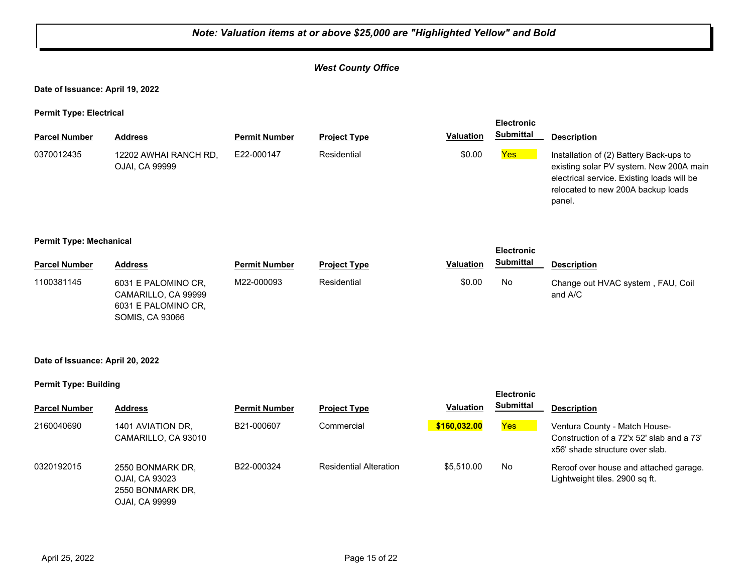#### *West County Office*

**Date of Issuance: April 19, 2022**

**Permit Type: Electrical**

|                      |                                                |                      |                     |                  | <b>Electronic</b> |                                                                                                                                                                                  |
|----------------------|------------------------------------------------|----------------------|---------------------|------------------|-------------------|----------------------------------------------------------------------------------------------------------------------------------------------------------------------------------|
| <b>Parcel Number</b> | <b>Address</b>                                 | <b>Permit Number</b> | <b>Project Type</b> | <b>Valuation</b> | <b>Submittal</b>  | <b>Description</b>                                                                                                                                                               |
| 0370012435           | 12202 AWHAI RANCH RD,<br><b>OJAI, CA 99999</b> | E22-000147           | Residential         | \$0.00           | <b>Yes</b>        | Installation of (2) Battery Back-ups to<br>existing solar PV system. New 200A main<br>electrical service. Existing loads will be<br>relocated to new 200A backup loads<br>panel. |

#### **Permit Type: Mechanical**

| . .                  |                                                                                             |                      |                     |                  | <b>Electronic</b> |                                              |
|----------------------|---------------------------------------------------------------------------------------------|----------------------|---------------------|------------------|-------------------|----------------------------------------------|
| <b>Parcel Number</b> | <b>Address</b>                                                                              | <b>Permit Number</b> | <b>Project Type</b> | <b>Valuation</b> | <b>Submittal</b>  | <b>Description</b>                           |
| 1100381145           | 6031 E PALOMINO CR,<br>CAMARILLO, CA 99999<br>6031 E PALOMINO CR.<br><b>SOMIS, CA 93066</b> | M22-000093           | Residential         | \$0.00           | No                | Change out HVAC system, FAU, Coil<br>and A/C |

#### **Date of Issuance: April 20, 2022**

**Permit Type: Building**

| - -                  |                                                                          |                      |                               |                  | <b>Electronic</b> |                                                                                                               |
|----------------------|--------------------------------------------------------------------------|----------------------|-------------------------------|------------------|-------------------|---------------------------------------------------------------------------------------------------------------|
| <b>Parcel Number</b> | <b>Address</b>                                                           | <b>Permit Number</b> | <b>Project Type</b>           | <b>Valuation</b> | Submittal         | <b>Description</b>                                                                                            |
| 2160040690           | 1401 AVIATION DR.<br>CAMARILLO, CA 93010                                 | B21-000607           | Commercial                    | \$160,032.00     | <b>Yes</b>        | Ventura County - Match House-<br>Construction of a 72'x 52' slab and a 73'<br>x56' shade structure over slab. |
| 0320192015           | 2550 BONMARK DR.<br>OJAI, CA 93023<br>2550 BONMARK DR.<br>OJAI, CA 99999 | B22-000324           | <b>Residential Alteration</b> | \$5.510.00       | No                | Reroof over house and attached garage.<br>Lightweight tiles. 2900 sq ft.                                      |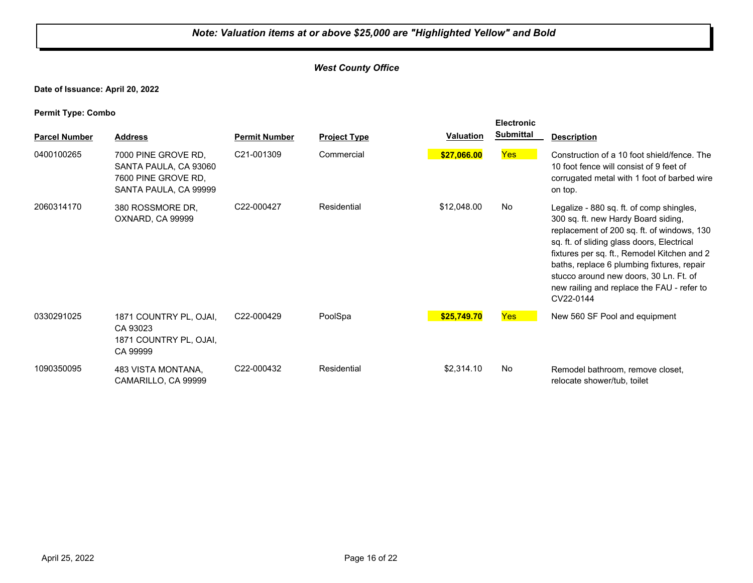#### *West County Office*

**Date of Issuance: April 20, 2022**

| <b>Parcel Number</b> | <b>Address</b>                                                                               | <b>Permit Number</b>    | <b>Project Type</b> | <b>Valuation</b> | <b>Electronic</b><br><b>Submittal</b> | <b>Description</b>                                                                                                                                                                                                                                                                                                                                                            |
|----------------------|----------------------------------------------------------------------------------------------|-------------------------|---------------------|------------------|---------------------------------------|-------------------------------------------------------------------------------------------------------------------------------------------------------------------------------------------------------------------------------------------------------------------------------------------------------------------------------------------------------------------------------|
| 0400100265           | 7000 PINE GROVE RD,<br>SANTA PAULA, CA 93060<br>7600 PINE GROVE RD.<br>SANTA PAULA, CA 99999 | C <sub>21</sub> -001309 | Commercial          | \$27,066.00      | <b>Yes</b>                            | Construction of a 10 foot shield/fence. The<br>10 foot fence will consist of 9 feet of<br>corrugated metal with 1 foot of barbed wire<br>on top.                                                                                                                                                                                                                              |
| 2060314170           | 380 ROSSMORE DR.<br>OXNARD, CA 99999                                                         | C22-000427              | Residential         | \$12,048.00      | No                                    | Legalize - 880 sq. ft. of comp shingles,<br>300 sq. ft. new Hardy Board siding,<br>replacement of 200 sq. ft. of windows, 130<br>sq. ft. of sliding glass doors, Electrical<br>fixtures per sq. ft., Remodel Kitchen and 2<br>baths, replace 6 plumbing fixtures, repair<br>stucco around new doors, 30 Ln. Ft. of<br>new railing and replace the FAU - refer to<br>CV22-0144 |
| 0330291025           | 1871 COUNTRY PL, OJAI,<br>CA 93023<br>1871 COUNTRY PL, OJAI,<br>CA 99999                     | C22-000429              | PoolSpa             | \$25,749.70      | <b>Yes</b>                            | New 560 SF Pool and equipment                                                                                                                                                                                                                                                                                                                                                 |
| 1090350095           | 483 VISTA MONTANA,<br>CAMARILLO, CA 99999                                                    | C22-000432              | Residential         | \$2,314.10       | No                                    | Remodel bathroom, remove closet,<br>relocate shower/tub, toilet                                                                                                                                                                                                                                                                                                               |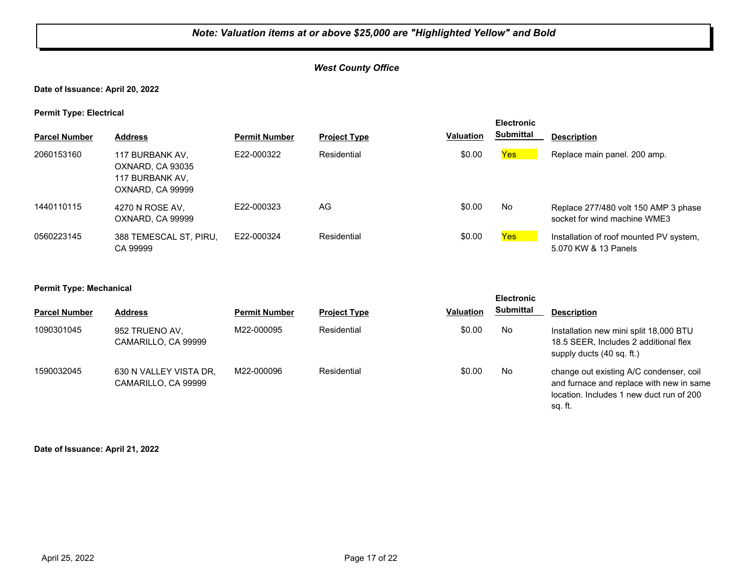#### *West County Office*

#### **Date of Issuance: April 20, 2022**

**Permit Type: Electrical**

|                      |                                                                            |                      |                     |                  | <b>Electronic</b> |                                                                      |
|----------------------|----------------------------------------------------------------------------|----------------------|---------------------|------------------|-------------------|----------------------------------------------------------------------|
| <b>Parcel Number</b> | <b>Address</b>                                                             | <b>Permit Number</b> | <b>Project Type</b> | <b>Valuation</b> | <b>Submittal</b>  | <b>Description</b>                                                   |
| 2060153160           | 117 BURBANK AV,<br>OXNARD, CA 93035<br>117 BURBANK AV.<br>OXNARD, CA 99999 | E22-000322           | Residential         | \$0.00           | Yes:              | Replace main panel. 200 amp.                                         |
| 1440110115           | 4270 N ROSE AV,<br>OXNARD, CA 99999                                        | E22-000323           | AG                  | \$0.00           | No                | Replace 277/480 volt 150 AMP 3 phase<br>socket for wind machine WME3 |
| 0560223145           | 388 TEMESCAL ST, PIRU,<br>CA 99999                                         | E22-000324           | Residential         | \$0.00           | <b>Yes</b>        | Installation of roof mounted PV system,<br>5.070 KW & 13 Panels      |

#### **Permit Type: Mechanical**

|                      |                                               |                      |                     |                  | <b>Electronic</b> |                                                                                                                                            |
|----------------------|-----------------------------------------------|----------------------|---------------------|------------------|-------------------|--------------------------------------------------------------------------------------------------------------------------------------------|
| <b>Parcel Number</b> | <b>Address</b>                                | <b>Permit Number</b> | <b>Project Type</b> | <b>Valuation</b> | <b>Submittal</b>  | <b>Description</b>                                                                                                                         |
| 1090301045           | 952 TRUENO AV,<br>CAMARILLO, CA 99999         | M22-000095           | Residential         | \$0.00           | No                | Installation new mini split 18,000 BTU<br>18.5 SEER, Includes 2 additional flex<br>supply ducts (40 sq. ft.)                               |
| 1590032045           | 630 N VALLEY VISTA DR.<br>CAMARILLO, CA 99999 | M22-000096           | Residential         | \$0.00           | No                | change out existing A/C condenser, coil<br>and furnace and replace with new in same<br>location. Includes 1 new duct run of 200<br>sq. ft. |

**Date of Issuance: April 21, 2022**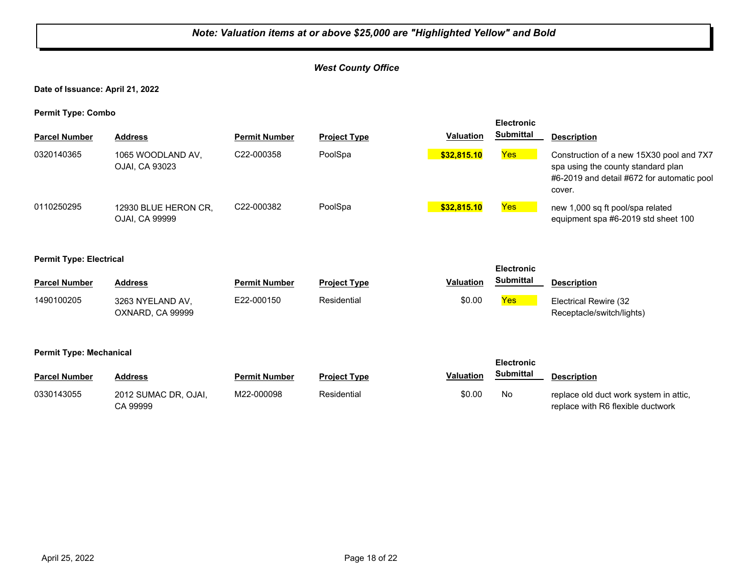#### *West County Office*

#### **Date of Issuance: April 21, 2022**

**Permit Type: Combo**

| . .                  |                                        |                         |                     |                  | <b>Electronic</b> |                                                                                                                                        |
|----------------------|----------------------------------------|-------------------------|---------------------|------------------|-------------------|----------------------------------------------------------------------------------------------------------------------------------------|
| <b>Parcel Number</b> | <b>Address</b>                         | <b>Permit Number</b>    | <b>Project Type</b> | <b>Valuation</b> | <b>Submittal</b>  | <b>Description</b>                                                                                                                     |
| 0320140365           | 1065 WOODLAND AV,<br>OJAI, CA 93023    | C22-000358              | PoolSpa             | \$32,815.10      | Yes               | Construction of a new 15X30 pool and 7X7<br>spa using the county standard plan<br>#6-2019 and detail #672 for automatic pool<br>cover. |
| 0110250295           | 12930 BLUE HERON CR,<br>OJAI, CA 99999 | C <sub>22</sub> -000382 | PoolSpa             | \$32,815.10      | <b>Yes</b>        | new 1,000 sq ft pool/spa related<br>equipment spa #6-2019 std sheet 100                                                                |

| <b>Parcel Number</b>           | <b>Address</b>                       | <b>Permit Number</b> | <b>Project Type</b> | Valuation | <b>Electronic</b><br><b>Submittal</b>                                                                                                                  | <b>Description</b>                                 |
|--------------------------------|--------------------------------------|----------------------|---------------------|-----------|--------------------------------------------------------------------------------------------------------------------------------------------------------|----------------------------------------------------|
| 1490100205                     | 3263 NYELAND AV,<br>OXNARD, CA 99999 | E22-000150           | Residential         | \$0.00    | Yes                                                                                                                                                    | Electrical Rewire (32<br>Receptacle/switch/lights) |
| <b>Permit Type: Mechanical</b> | .                                    |                      |                     | $\cdots$  | <b>Electronic</b><br>$C1$ , $C2$ , $C3$ , $C4$ , $C5$ , $C6$ , $C7$ , $C8$ , $C9$ , $C1$ , $C1$ , $C1$ , $C1$ , $C1$ , $C1$ , $C1$ , $C1$ , $C1$ , $C$ |                                                    |

| <b>Parcel Number</b> | Address                          | Permit Number | <b>Project Type</b> | <b>Valuation</b> | Submittal | <b>Description</b>                                                          |
|----------------------|----------------------------------|---------------|---------------------|------------------|-----------|-----------------------------------------------------------------------------|
| 0330143055           | 2012 SUMAC DR. OJAI.<br>CA 99999 | M22-000098    | Residential         | \$0.00           | No        | replace old duct work system in attic,<br>replace with R6 flexible ductwork |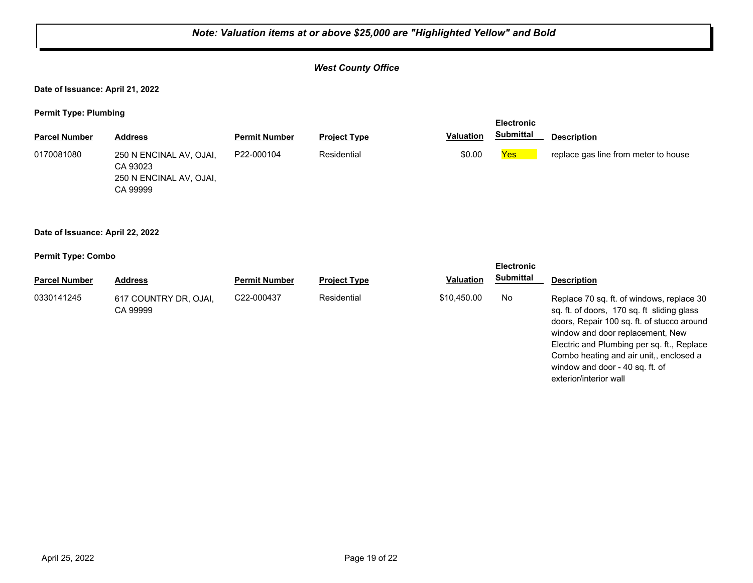## *West County Office* **Date of Issuance: April 21, 2022 Permit Type: Plumbing Parcel Number Address <b>Permit Number Project Type Valuation Submittal** Description **Electronic Submittal** 250 N ENCINAL AV, OJAI, CA 93023 250 N ENCINAL AV, OJAI, CA 99999 0170081080 250 N ENCINAL AV, OJAI, P22-000104 Residential **Residential 50.00** Yes replace gas line from meter to house **Date of Issuance: April 22, 2022 Permit Type: Combo Parcel Number Address <b>Permit Number Project Type Valuation Submittal** Description **Electronic Submittal** 0330141245 617 COUNTRY DR, OJAI, C22-000437 Residential \$10,450.00 No CA 99999 C22-000437 Residential \$10,450.00 No Replace 70 sq. ft. of windows, replace 30 sq. ft. of doors, 170 sq. ft sliding glass doors, Repair 100 sq. ft. of stucco around window and door replacement, New Electric and Plumbing per sq. ft., Replace Combo heating and air unit,, enclosed a window and door - 40 sq. ft. of

*Note: Valuation items at or above \$25,000 are "Highlighted Yellow" and Bold*

exterior/interior wall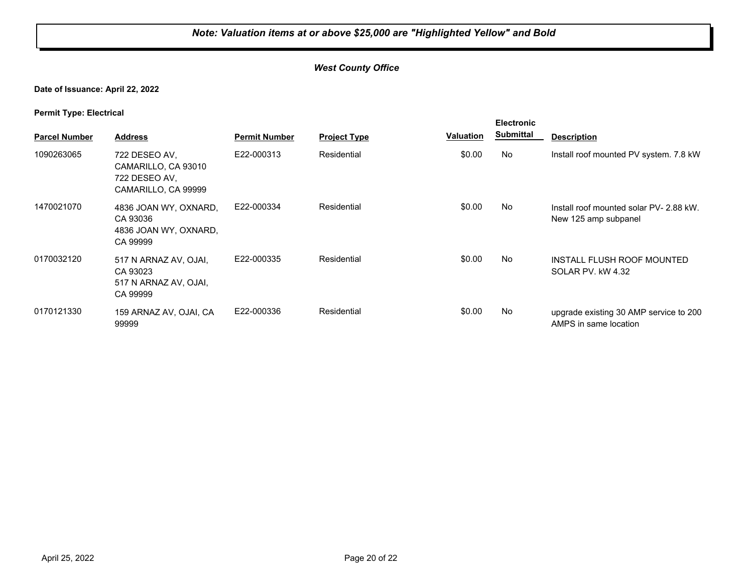#### *West County Office*

#### **Date of Issuance: April 22, 2022**

| . .<br><b>Parcel Number</b> | <b>Address</b>                                                               | <b>Permit Number</b> | <b>Project Type</b> | Valuation | <b>Electronic</b><br><b>Submittal</b> | <b>Description</b>                                              |
|-----------------------------|------------------------------------------------------------------------------|----------------------|---------------------|-----------|---------------------------------------|-----------------------------------------------------------------|
| 1090263065                  | 722 DESEO AV.<br>CAMARILLO, CA 93010<br>722 DESEO AV,<br>CAMARILLO, CA 99999 | E22-000313           | Residential         | \$0.00    | <b>No</b>                             | Install roof mounted PV system. 7.8 kW                          |
| 1470021070                  | 4836 JOAN WY, OXNARD,<br>CA 93036<br>4836 JOAN WY, OXNARD,<br>CA 99999       | E22-000334           | Residential         | \$0.00    | No                                    | Install roof mounted solar PV-2.88 kW.<br>New 125 amp subpanel  |
| 0170032120                  | 517 N ARNAZ AV, OJAI,<br>CA 93023<br>517 N ARNAZ AV, OJAI,<br>CA 99999       | E22-000335           | Residential         | \$0.00    | No                                    | INSTALL FLUSH ROOF MOUNTED<br>SOLAR PV, kW 4.32                 |
| 0170121330                  | 159 ARNAZ AV, OJAI, CA<br>99999                                              | E22-000336           | Residential         | \$0.00    | No                                    | upgrade existing 30 AMP service to 200<br>AMPS in same location |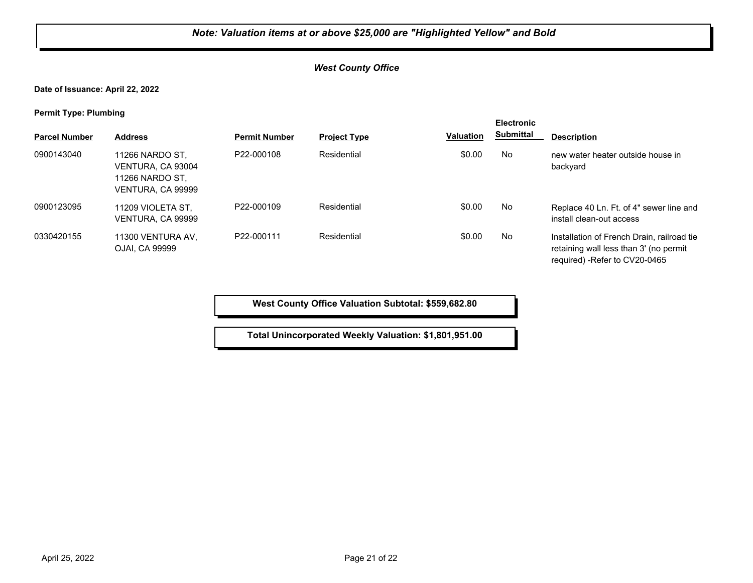#### *West County Office*

**Date of Issuance: April 22, 2022**

**Permit Type: Plumbing**

| <b>Parcel Number</b> | <b>Address</b>                                                               | <b>Permit Number</b> | <b>Project Type</b> | <b>Valuation</b> | <b>Electronic</b><br><b>Submittal</b> | <b>Description</b>                                                                                                     |
|----------------------|------------------------------------------------------------------------------|----------------------|---------------------|------------------|---------------------------------------|------------------------------------------------------------------------------------------------------------------------|
| 0900143040           | 11266 NARDO ST.<br>VENTURA. CA 93004<br>11266 NARDO ST.<br>VENTURA. CA 99999 | P22-000108           | Residential         | \$0.00           | No                                    | new water heater outside house in<br>backyard                                                                          |
| 0900123095           | 11209 VIOLETA ST.<br>VENTURA, CA 99999                                       | P22-000109           | Residential         | \$0.00           | No                                    | Replace 40 Ln. Ft. of 4" sewer line and<br>install clean-out access                                                    |
| 0330420155           | 11300 VENTURA AV.<br>OJAI, CA 99999                                          | P22-000111           | Residential         | \$0.00           | No                                    | Installation of French Drain, railroad tie<br>retaining wall less than 3' (no permit<br>required) - Refer to CV20-0465 |

**West County Office Valuation Subtotal: \$559,682.80**

**Total Unincorporated Weekly Valuation: \$1,801,951.00**